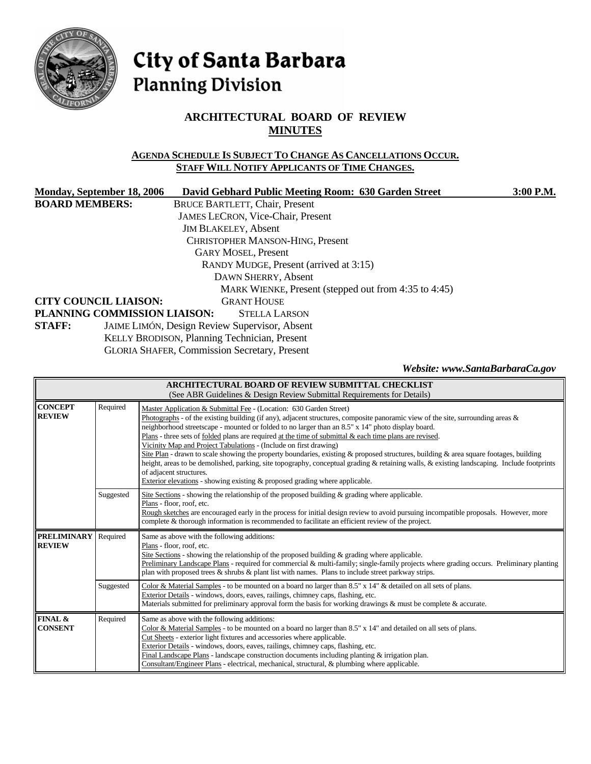

# City of Santa Barbara **Planning Division**

# **ARCHITECTURAL BOARD OF REVIEW MINUTES**

## **AGENDA SCHEDULE IS SUBJECT TO CHANGE AS CANCELLATIONS OCCUR. STAFF WILL NOTIFY APPLICANTS OF TIME CHANGES.**

| Monday, September 18, 2006              | David Gebhard Public Meeting Room: 630 Garden Street | 3:00 P.M. |  |  |
|-----------------------------------------|------------------------------------------------------|-----------|--|--|
| <b>BOARD MEMBERS:</b>                   | <b>BRUCE BARTLETT, Chair, Present</b>                |           |  |  |
|                                         | <b>JAMES LECRON, Vice-Chair, Present</b>             |           |  |  |
|                                         | <b>JIM BLAKELEY, Absent</b>                          |           |  |  |
| <b>CHRISTOPHER MANSON-HING, Present</b> |                                                      |           |  |  |
|                                         | <b>GARY MOSEL, Present</b>                           |           |  |  |
| RANDY MUDGE, Present (arrived at 3:15)  |                                                      |           |  |  |
| DAWN SHERRY, Absent                     |                                                      |           |  |  |
|                                         | MARK WIENKE, Present (stepped out from 4:35 to 4:45) |           |  |  |
| <b>CITY COUNCIL LIAISON:</b>            | <b>GRANT HOUSE</b>                                   |           |  |  |
| PLANNING COMMISSION LIAISON:            | <b>STELLA LARSON</b>                                 |           |  |  |
| <b>STAFF:</b>                           | JAIME LIMÓN, Design Review Supervisor, Absent        |           |  |  |
|                                         | KELLY BRODISON, Planning Technician, Present         |           |  |  |

GLORIA SHAFER, Commission Secretary, Present

*Website: www.SantaBarbaraCa.gov* 

| ARCHITECTURAL BOARD OF REVIEW SUBMITTAL CHECKLIST<br>(See ABR Guidelines & Design Review Submittal Requirements for Details) |           |                                                                                                                                                                                                                                                                                                                                                                                                                                                                                                                                                                                                                                                                                                                                                                                                                                                                                                             |  |  |
|------------------------------------------------------------------------------------------------------------------------------|-----------|-------------------------------------------------------------------------------------------------------------------------------------------------------------------------------------------------------------------------------------------------------------------------------------------------------------------------------------------------------------------------------------------------------------------------------------------------------------------------------------------------------------------------------------------------------------------------------------------------------------------------------------------------------------------------------------------------------------------------------------------------------------------------------------------------------------------------------------------------------------------------------------------------------------|--|--|
| <b>CONCEPT</b><br><b>REVIEW</b>                                                                                              | Required  | Master Application & Submittal Fee - (Location: 630 Garden Street)<br>Photographs - of the existing building (if any), adjacent structures, composite panoramic view of the site, surrounding areas $\&$<br>neighborhood streetscape - mounted or folded to no larger than an 8.5" x 14" photo display board.<br>Plans - three sets of <u>folded</u> plans are required at the time of submittal $\&$ each time plans are revised.<br>Vicinity Map and Project Tabulations - (Include on first drawing)<br>Site Plan - drawn to scale showing the property boundaries, existing & proposed structures, building & area square footages, building<br>height, areas to be demolished, parking, site topography, conceptual grading & retaining walls, & existing landscaping. Include footprints<br>of adjacent structures.<br>Exterior elevations - showing existing $\&$ proposed grading where applicable. |  |  |
|                                                                                                                              | Suggested | Site Sections - showing the relationship of the proposed building & grading where applicable.<br>Plans - floor, roof, etc.<br>Rough sketches are encouraged early in the process for initial design review to avoid pursuing incompatible proposals. However, more<br>complete & thorough information is recommended to facilitate an efficient review of the project.                                                                                                                                                                                                                                                                                                                                                                                                                                                                                                                                      |  |  |
| <b>PRELIMINARY</b><br><b>REVIEW</b>                                                                                          | Required  | Same as above with the following additions:<br>Plans - floor, roof, etc.<br>Site Sections - showing the relationship of the proposed building $\&$ grading where applicable.<br>Preliminary Landscape Plans - required for commercial & multi-family; single-family projects where grading occurs. Preliminary planting<br>plan with proposed trees $\&$ shrubs $\&$ plant list with names. Plans to include street parkway strips.                                                                                                                                                                                                                                                                                                                                                                                                                                                                         |  |  |
|                                                                                                                              | Suggested | Color & Material Samples - to be mounted on a board no larger than 8.5" x 14" & detailed on all sets of plans.<br>Exterior Details - windows, doors, eaves, railings, chimney caps, flashing, etc.<br>Materials submitted for preliminary approval form the basis for working drawings $\&$ must be complete $\&$ accurate.                                                                                                                                                                                                                                                                                                                                                                                                                                                                                                                                                                                 |  |  |
| FINAL &<br><b>CONSENT</b>                                                                                                    | Required  | Same as above with the following additions:<br>Color & Material Samples - to be mounted on a board no larger than $8.5" \times 14"$ and detailed on all sets of plans.<br>Cut Sheets - exterior light fixtures and accessories where applicable.<br>Exterior Details - windows, doors, eaves, railings, chimney caps, flashing, etc.<br>Final Landscape Plans - landscape construction documents including planting $&$ irrigation plan.<br>Consultant/Engineer Plans - electrical, mechanical, structural, & plumbing where applicable.                                                                                                                                                                                                                                                                                                                                                                    |  |  |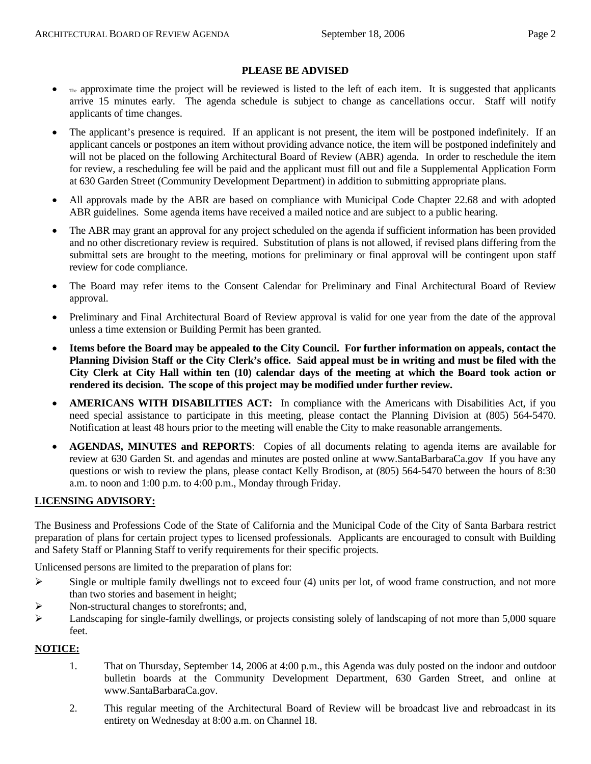#### **PLEASE BE ADVISED**

- The approximate time the project will be reviewed is listed to the left of each item. It is suggested that applicants arrive 15 minutes early. The agenda schedule is subject to change as cancellations occur. Staff will notify applicants of time changes.
- The applicant's presence is required. If an applicant is not present, the item will be postponed indefinitely. If an applicant cancels or postpones an item without providing advance notice, the item will be postponed indefinitely and will not be placed on the following Architectural Board of Review (ABR) agenda. In order to reschedule the item for review, a rescheduling fee will be paid and the applicant must fill out and file a Supplemental Application Form at 630 Garden Street (Community Development Department) in addition to submitting appropriate plans.
- All approvals made by the ABR are based on compliance with Municipal Code Chapter 22.68 and with adopted ABR guidelines. Some agenda items have received a mailed notice and are subject to a public hearing.
- The ABR may grant an approval for any project scheduled on the agenda if sufficient information has been provided and no other discretionary review is required. Substitution of plans is not allowed, if revised plans differing from the submittal sets are brought to the meeting, motions for preliminary or final approval will be contingent upon staff review for code compliance.
- The Board may refer items to the Consent Calendar for Preliminary and Final Architectural Board of Review approval.
- Preliminary and Final Architectural Board of Review approval is valid for one year from the date of the approval unless a time extension or Building Permit has been granted.
- **Items before the Board may be appealed to the City Council. For further information on appeals, contact the Planning Division Staff or the City Clerk's office. Said appeal must be in writing and must be filed with the City Clerk at City Hall within ten (10) calendar days of the meeting at which the Board took action or rendered its decision. The scope of this project may be modified under further review.**
- **AMERICANS WITH DISABILITIES ACT:** In compliance with the Americans with Disabilities Act, if you need special assistance to participate in this meeting, please contact the Planning Division at (805) 564-5470. Notification at least 48 hours prior to the meeting will enable the City to make reasonable arrangements.
- **AGENDAS, MINUTES and REPORTS**: Copies of all documents relating to agenda items are available for review at 630 Garden St. and agendas and minutes are posted online at [www.SantaBarbaraCa.gov](http://www.santabarbaraca.gov/) If you have any questions or wish to review the plans, please contact Kelly Brodison, at (805) 564-5470 between the hours of 8:30 a.m. to noon and 1:00 p.m. to 4:00 p.m., Monday through Friday.

## **LICENSING ADVISORY:**

The Business and Professions Code of the State of California and the Municipal Code of the City of Santa Barbara restrict preparation of plans for certain project types to licensed professionals. Applicants are encouraged to consult with Building and Safety Staff or Planning Staff to verify requirements for their specific projects.

Unlicensed persons are limited to the preparation of plans for:

- $\triangleright$  Single or multiple family dwellings not to exceed four (4) units per lot, of wood frame construction, and not more than two stories and basement in height;
- ¾ Non-structural changes to storefronts; and,
- ¾ Landscaping for single-family dwellings, or projects consisting solely of landscaping of not more than 5,000 square feet.

#### **NOTICE:**

- 1. That on Thursday, September 14, 2006 at 4:00 p.m., this Agenda was duly posted on the indoor and outdoor bulletin boards at the Community Development Department, 630 Garden Street, and online at www.SantaBarbaraCa.gov.
- 2. This regular meeting of the Architectural Board of Review will be broadcast live and rebroadcast in its entirety on Wednesday at 8:00 a.m. on Channel 18.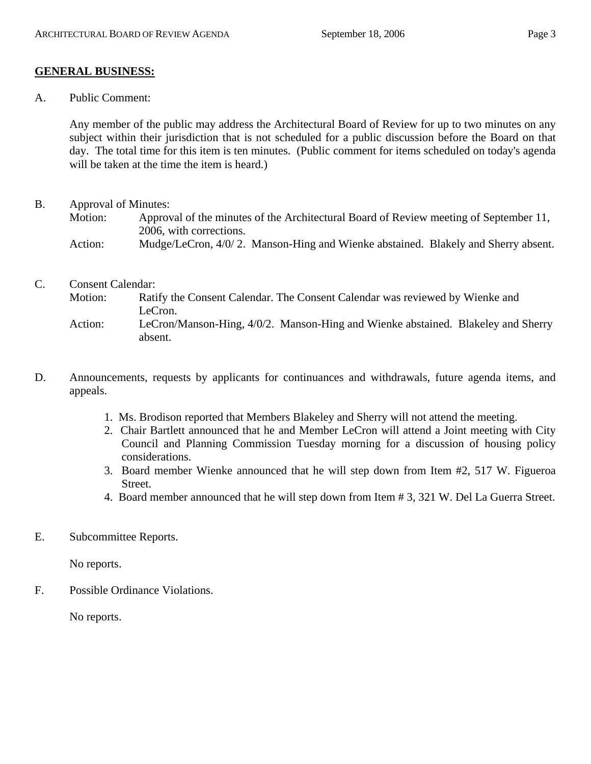# **GENERAL BUSINESS:**

A. Public Comment:

Any member of the public may address the Architectural Board of Review for up to two minutes on any subject within their jurisdiction that is not scheduled for a public discussion before the Board on that day. The total time for this item is ten minutes. (Public comment for items scheduled on today's agenda will be taken at the time the item is heard.)

- B. Approval of Minutes:
	- Motion: Approval of the minutes of the Architectural Board of Review meeting of September 11, 2006, with corrections.
	- Action: Mudge/LeCron, 4/0/2. Manson-Hing and Wienke abstained. Blakely and Sherry absent.
- C. Consent Calendar:
	- Motion: Ratify the Consent Calendar. The Consent Calendar was reviewed by Wienke and LeCron. Action: LeCron/Manson-Hing, 4/0/2. Manson-Hing and Wienke abstained. Blakeley and Sherry absent.
- D. Announcements, requests by applicants for continuances and withdrawals, future agenda items, and appeals.
	- 1. Ms. Brodison reported that Members Blakeley and Sherry will not attend the meeting.
	- 2. Chair Bartlett announced that he and Member LeCron will attend a Joint meeting with City Council and Planning Commission Tuesday morning for a discussion of housing policy considerations.
	- 3. Board member Wienke announced that he will step down from Item #2, 517 W. Figueroa Street.
	- 4. Board member announced that he will step down from Item # 3, 321 W. Del La Guerra Street.
- E. Subcommittee Reports.

No reports.

F. Possible Ordinance Violations.

No reports.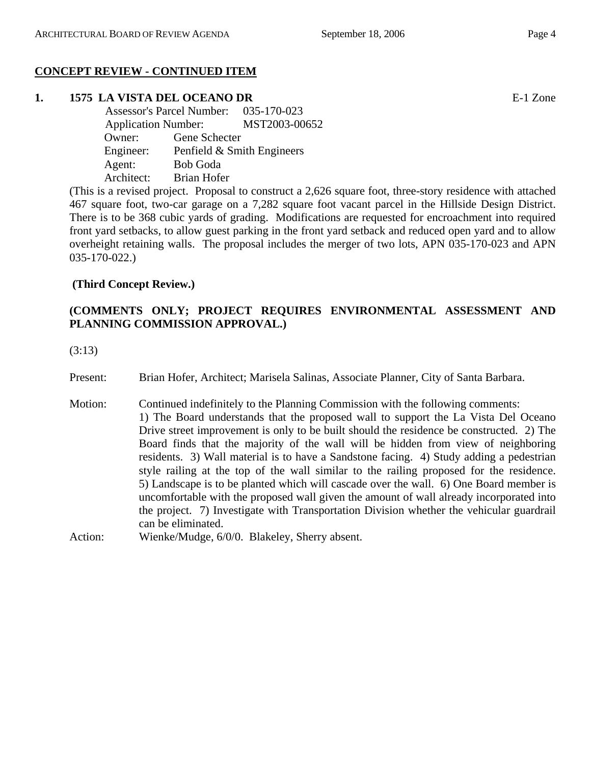# **CONCEPT REVIEW - CONTINUED ITEM**

# **1. 1575 LA VISTA DEL OCEANO DR** E-1 Zone

 Assessor's Parcel Number: 035-170-023 Application Number: MST2003-00652 Owner: Gene Schecter Engineer: Penfield & Smith Engineers Agent: Bob Goda Architect: Brian Hofer

(This is a revised project. Proposal to construct a 2,626 square foot, three-story residence with attached 467 square foot, two-car garage on a 7,282 square foot vacant parcel in the Hillside Design District. There is to be 368 cubic yards of grading. Modifications are requested for encroachment into required front yard setbacks, to allow guest parking in the front yard setback and reduced open yard and to allow overheight retaining walls. The proposal includes the merger of two lots, APN 035-170-023 and APN 035-170-022.)

# **(Third Concept Review.)**

# **(COMMENTS ONLY; PROJECT REQUIRES ENVIRONMENTAL ASSESSMENT AND PLANNING COMMISSION APPROVAL.)**

(3:13)

Present: Brian Hofer, Architect; Marisela Salinas, Associate Planner, City of Santa Barbara.

- Motion: Continued indefinitely to the Planning Commission with the following comments: 1) The Board understands that the proposed wall to support the La Vista Del Oceano Drive street improvement is only to be built should the residence be constructed. 2) The Board finds that the majority of the wall will be hidden from view of neighboring residents. 3) Wall material is to have a Sandstone facing. 4) Study adding a pedestrian style railing at the top of the wall similar to the railing proposed for the residence. 5) Landscape is to be planted which will cascade over the wall. 6) One Board member is uncomfortable with the proposed wall given the amount of wall already incorporated into the project. 7) Investigate with Transportation Division whether the vehicular guardrail can be eliminated.
- Action: Wienke/Mudge, 6/0/0. Blakeley, Sherry absent.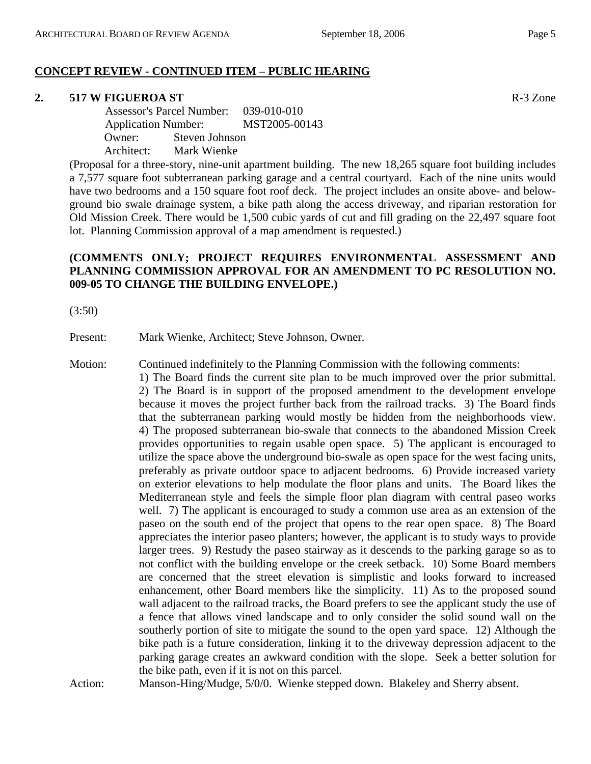# **CONCEPT REVIEW - CONTINUED ITEM – PUBLIC HEARING**

#### **2. 517 W FIGUEROA ST** R-3 Zone

 Assessor's Parcel Number: 039-010-010 Application Number: MST2005-00143 Owner: Steven Johnson Architect: Mark Wienke

(Proposal for a three-story, nine-unit apartment building. The new 18,265 square foot building includes a 7,577 square foot subterranean parking garage and a central courtyard. Each of the nine units would have two bedrooms and a 150 square foot roof deck. The project includes an onsite above- and belowground bio swale drainage system, a bike path along the access driveway, and riparian restoration for Old Mission Creek. There would be 1,500 cubic yards of cut and fill grading on the 22,497 square foot lot. Planning Commission approval of a map amendment is requested.)

## **(COMMENTS ONLY; PROJECT REQUIRES ENVIRONMENTAL ASSESSMENT AND PLANNING COMMISSION APPROVAL FOR AN AMENDMENT TO PC RESOLUTION NO. 009-05 TO CHANGE THE BUILDING ENVELOPE.)**

(3:50)

Present: Mark Wienke, Architect; Steve Johnson, Owner.

Motion: Continued indefinitely to the Planning Commission with the following comments:

1) The Board finds the current site plan to be much improved over the prior submittal. 2) The Board is in support of the proposed amendment to the development envelope because it moves the project further back from the railroad tracks. 3) The Board finds that the subterranean parking would mostly be hidden from the neighborhoods view. 4) The proposed subterranean bio-swale that connects to the abandoned Mission Creek provides opportunities to regain usable open space. 5) The applicant is encouraged to utilize the space above the underground bio-swale as open space for the west facing units, preferably as private outdoor space to adjacent bedrooms. 6) Provide increased variety on exterior elevations to help modulate the floor plans and units. The Board likes the Mediterranean style and feels the simple floor plan diagram with central paseo works well. 7) The applicant is encouraged to study a common use area as an extension of the paseo on the south end of the project that opens to the rear open space. 8) The Board appreciates the interior paseo planters; however, the applicant is to study ways to provide larger trees. 9) Restudy the paseo stairway as it descends to the parking garage so as to not conflict with the building envelope or the creek setback. 10) Some Board members are concerned that the street elevation is simplistic and looks forward to increased enhancement, other Board members like the simplicity. 11) As to the proposed sound wall adjacent to the railroad tracks, the Board prefers to see the applicant study the use of a fence that allows vined landscape and to only consider the solid sound wall on the southerly portion of site to mitigate the sound to the open yard space. 12) Although the bike path is a future consideration, linking it to the driveway depression adjacent to the parking garage creates an awkward condition with the slope. Seek a better solution for the bike path, even if it is not on this parcel.

Action: Manson-Hing/Mudge, 5/0/0. Wienke stepped down. Blakeley and Sherry absent.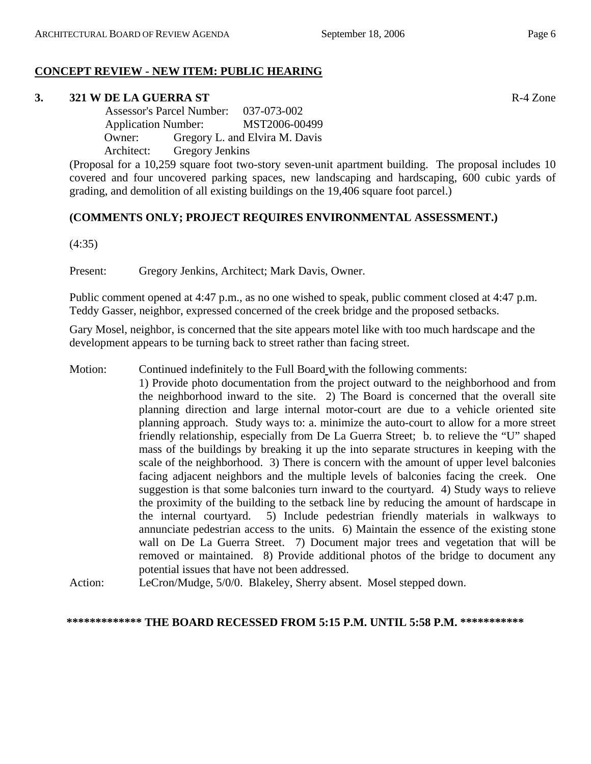# **CONCEPT REVIEW - NEW ITEM: PUBLIC HEARING**

# **3. 321 W DE LA GUERRA ST** R-4 Zone

 Assessor's Parcel Number: 037-073-002 Application Number: MST2006-00499 Owner: Gregory L. and Elvira M. Davis Architect: Gregory Jenkins

(Proposal for a 10,259 square foot two-story seven-unit apartment building. The proposal includes 10 covered and four uncovered parking spaces, new landscaping and hardscaping, 600 cubic yards of grading, and demolition of all existing buildings on the 19,406 square foot parcel.)

# **(COMMENTS ONLY; PROJECT REQUIRES ENVIRONMENTAL ASSESSMENT.)**

(4:35)

Present: Gregory Jenkins, Architect; Mark Davis, Owner.

Public comment opened at 4:47 p.m., as no one wished to speak, public comment closed at 4:47 p.m. Teddy Gasser, neighbor, expressed concerned of the creek bridge and the proposed setbacks.

Gary Mosel, neighbor, is concerned that the site appears motel like with too much hardscape and the development appears to be turning back to street rather than facing street.

- Motion: Continued indefinitely to the Full Board with the following comments: 1) Provide photo documentation from the project outward to the neighborhood and from the neighborhood inward to the site. 2) The Board is concerned that the overall site planning direction and large internal motor-court are due to a vehicle oriented site planning approach. Study ways to: a. minimize the auto-court to allow for a more street friendly relationship, especially from De La Guerra Street; b. to relieve the "U" shaped mass of the buildings by breaking it up the into separate structures in keeping with the scale of the neighborhood. 3) There is concern with the amount of upper level balconies facing adjacent neighbors and the multiple levels of balconies facing the creek. One suggestion is that some balconies turn inward to the courtyard. 4) Study ways to relieve the proximity of the building to the setback line by reducing the amount of hardscape in the internal courtyard. 5) Include pedestrian friendly materials in walkways to annunciate pedestrian access to the units. 6) Maintain the essence of the existing stone wall on De La Guerra Street. 7) Document major trees and vegetation that will be removed or maintained. 8) Provide additional photos of the bridge to document any potential issues that have not been addressed.
- Action: LeCron/Mudge, 5/0/0. Blakeley, Sherry absent. Mosel stepped down.

## **\*\*\*\*\*\*\*\*\*\*\*\*\* THE BOARD RECESSED FROM 5:15 P.M. UNTIL 5:58 P.M. \*\*\*\*\*\*\*\*\*\*\***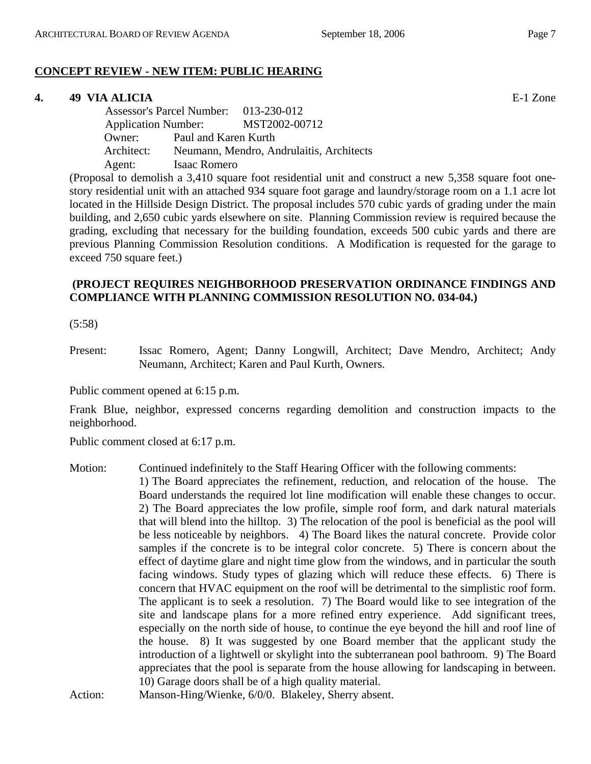# **CONCEPT REVIEW - NEW ITEM: PUBLIC HEARING**

#### **4. 49 VIA ALICIA** E-1 Zone

 Assessor's Parcel Number: 013-230-012 Application Number: MST2002-00712 Owner: Paul and Karen Kurth Architect: Neumann, Mendro, Andrulaitis, Architects Agent: Isaac Romero

(Proposal to demolish a 3,410 square foot residential unit and construct a new 5,358 square foot onestory residential unit with an attached 934 square foot garage and laundry/storage room on a 1.1 acre lot located in the Hillside Design District. The proposal includes 570 cubic yards of grading under the main building, and 2,650 cubic yards elsewhere on site. Planning Commission review is required because the grading, excluding that necessary for the building foundation, exceeds 500 cubic yards and there are previous Planning Commission Resolution conditions. A Modification is requested for the garage to exceed 750 square feet.)

## **(PROJECT REQUIRES NEIGHBORHOOD PRESERVATION ORDINANCE FINDINGS AND COMPLIANCE WITH PLANNING COMMISSION RESOLUTION NO. 034-04.)**

(5:58)

Present: Issac Romero, Agent; Danny Longwill, Architect; Dave Mendro, Architect; Andy Neumann, Architect; Karen and Paul Kurth, Owners.

Public comment opened at 6:15 p.m.

Frank Blue, neighbor, expressed concerns regarding demolition and construction impacts to the neighborhood.

Public comment closed at 6:17 p.m.

Motion: Continued indefinitely to the Staff Hearing Officer with the following comments: 1) The Board appreciates the refinement, reduction, and relocation of the house. The Board understands the required lot line modification will enable these changes to occur. 2) The Board appreciates the low profile, simple roof form, and dark natural materials that will blend into the hilltop. 3) The relocation of the pool is beneficial as the pool will be less noticeable by neighbors. 4) The Board likes the natural concrete. Provide color samples if the concrete is to be integral color concrete. 5) There is concern about the effect of daytime glare and night time glow from the windows, and in particular the south facing windows. Study types of glazing which will reduce these effects. 6) There is concern that HVAC equipment on the roof will be detrimental to the simplistic roof form. The applicant is to seek a resolution. 7) The Board would like to see integration of the site and landscape plans for a more refined entry experience. Add significant trees, especially on the north side of house, to continue the eye beyond the hill and roof line of the house. 8) It was suggested by one Board member that the applicant study the introduction of a lightwell or skylight into the subterranean pool bathroom. 9) The Board appreciates that the pool is separate from the house allowing for landscaping in between. 10) Garage doors shall be of a high quality material.

Action: Manson-Hing/Wienke, 6/0/0. Blakeley, Sherry absent.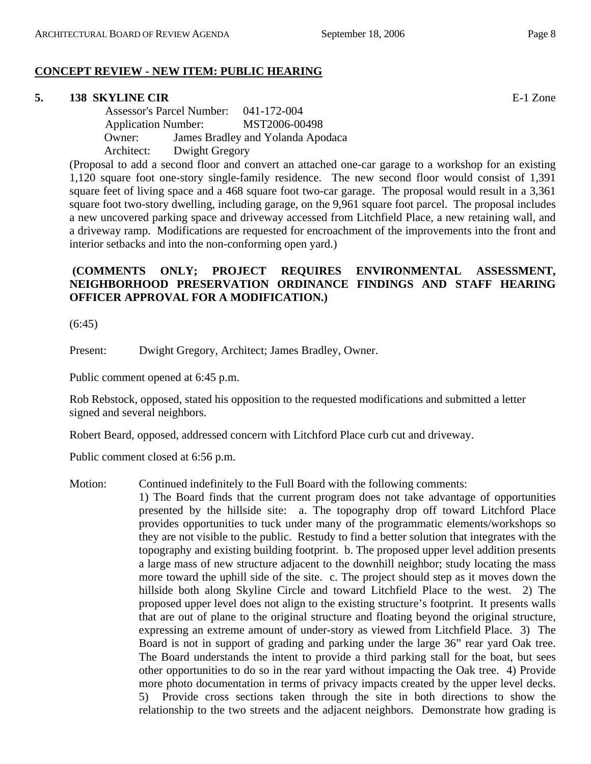## **CONCEPT REVIEW - NEW ITEM: PUBLIC HEARING**

#### **5. 138 SKYLINE CIR** E-1 Zone

 Assessor's Parcel Number: 041-172-004 Application Number: MST2006-00498 Owner: James Bradley and Yolanda Apodaca Architect: Dwight Gregory

(Proposal to add a second floor and convert an attached one-car garage to a workshop for an existing 1,120 square foot one-story single-family residence. The new second floor would consist of 1,391 square feet of living space and a 468 square foot two-car garage. The proposal would result in a 3,361 square foot two-story dwelling, including garage, on the 9,961 square foot parcel. The proposal includes a new uncovered parking space and driveway accessed from Litchfield Place, a new retaining wall, and a driveway ramp. Modifications are requested for encroachment of the improvements into the front and interior setbacks and into the non-conforming open yard.)

## **(COMMENTS ONLY; PROJECT REQUIRES ENVIRONMENTAL ASSESSMENT, NEIGHBORHOOD PRESERVATION ORDINANCE FINDINGS AND STAFF HEARING OFFICER APPROVAL FOR A MODIFICATION.)**

(6:45)

Present: Dwight Gregory, Architect; James Bradley, Owner.

Public comment opened at 6:45 p.m.

Rob Rebstock, opposed, stated his opposition to the requested modifications and submitted a letter signed and several neighbors.

Robert Beard, opposed, addressed concern with Litchford Place curb cut and driveway.

Public comment closed at 6:56 p.m.

Motion: Continued indefinitely to the Full Board with the following comments:

1) The Board finds that the current program does not take advantage of opportunities presented by the hillside site: a. The topography drop off toward Litchford Place provides opportunities to tuck under many of the programmatic elements/workshops so they are not visible to the public. Restudy to find a better solution that integrates with the topography and existing building footprint. b. The proposed upper level addition presents a large mass of new structure adjacent to the downhill neighbor; study locating the mass more toward the uphill side of the site. c. The project should step as it moves down the hillside both along Skyline Circle and toward Litchfield Place to the west. 2) The proposed upper level does not align to the existing structure's footprint. It presents walls that are out of plane to the original structure and floating beyond the original structure, expressing an extreme amount of under-story as viewed from Litchfield Place. 3) The Board is not in support of grading and parking under the large 36" rear yard Oak tree. The Board understands the intent to provide a third parking stall for the boat, but sees other opportunities to do so in the rear yard without impacting the Oak tree. 4) Provide more photo documentation in terms of privacy impacts created by the upper level decks. 5) Provide cross sections taken through the site in both directions to show the relationship to the two streets and the adjacent neighbors. Demonstrate how grading is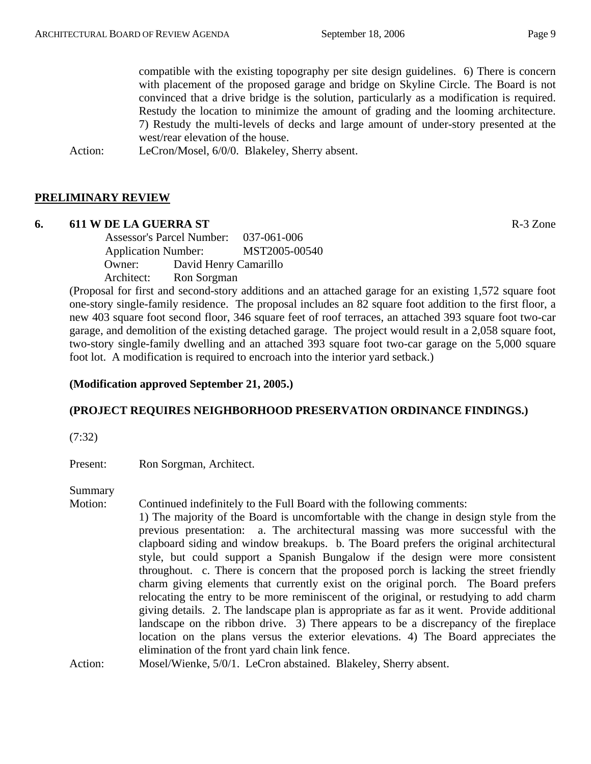compatible with the existing topography per site design guidelines. 6) There is concern with placement of the proposed garage and bridge on Skyline Circle. The Board is not convinced that a drive bridge is the solution, particularly as a modification is required. Restudy the location to minimize the amount of grading and the looming architecture. 7) Restudy the multi-levels of decks and large amount of under-story presented at the west/rear elevation of the house.

Action: LeCron/Mosel, 6/0/0. Blakeley, Sherry absent.

## **PRELIMINARY REVIEW**

#### **6. 611 W DE LA GUERRA ST** R-3 Zone

 Assessor's Parcel Number: 037-061-006 Application Number: MST2005-00540 Owner: David Henry Camarillo Architect: Ron Sorgman

(Proposal for first and second-story additions and an attached garage for an existing 1,572 square foot one-story single-family residence. The proposal includes an 82 square foot addition to the first floor, a new 403 square foot second floor, 346 square feet of roof terraces, an attached 393 square foot two-car garage, and demolition of the existing detached garage. The project would result in a 2,058 square foot, two-story single-family dwelling and an attached 393 square foot two-car garage on the 5,000 square foot lot. A modification is required to encroach into the interior yard setback.)

#### **(Modification approved September 21, 2005.)**

## **(PROJECT REQUIRES NEIGHBORHOOD PRESERVATION ORDINANCE FINDINGS.)**

(7:32)

Present: Ron Sorgman, Architect.

Summary

Motion: Continued indefinitely to the Full Board with the following comments: 1) The majority of the Board is uncomfortable with the change in design style from the previous presentation: a. The architectural massing was more successful with the clapboard siding and window breakups. b. The Board prefers the original architectural style, but could support a Spanish Bungalow if the design were more consistent throughout. c. There is concern that the proposed porch is lacking the street friendly charm giving elements that currently exist on the original porch. The Board prefers relocating the entry to be more reminiscent of the original, or restudying to add charm giving details. 2. The landscape plan is appropriate as far as it went. Provide additional landscape on the ribbon drive. 3) There appears to be a discrepancy of the fireplace location on the plans versus the exterior elevations. 4) The Board appreciates the elimination of the front yard chain link fence. Action: Mosel/Wienke, 5/0/1. LeCron abstained. Blakeley, Sherry absent.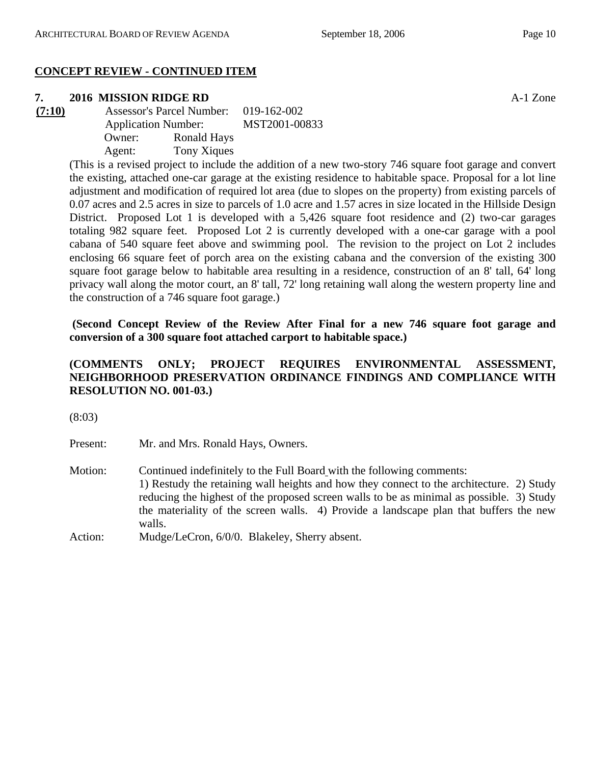# **CONCEPT REVIEW - CONTINUED ITEM**

# **7. 2016 MISSION RIDGE RD** A-1 Zone

**(7:10)** Assessor's Parcel Number: 019-162-002 Application Number: MST2001-00833 Owner: Ronald Hays Agent: Tony Xiques

(This is a revised project to include the addition of a new two-story 746 square foot garage and convert the existing, attached one-car garage at the existing residence to habitable space. Proposal for a lot line adjustment and modification of required lot area (due to slopes on the property) from existing parcels of 0.07 acres and 2.5 acres in size to parcels of 1.0 acre and 1.57 acres in size located in the Hillside Design District. Proposed Lot 1 is developed with a 5,426 square foot residence and (2) two-car garages totaling 982 square feet. Proposed Lot 2 is currently developed with a one-car garage with a pool cabana of 540 square feet above and swimming pool. The revision to the project on Lot 2 includes enclosing 66 square feet of porch area on the existing cabana and the conversion of the existing 300 square foot garage below to habitable area resulting in a residence, construction of an 8' tall, 64' long privacy wall along the motor court, an 8' tall, 72' long retaining wall along the western property line and the construction of a 746 square foot garage.)

 **(Second Concept Review of the Review After Final for a new 746 square foot garage and conversion of a 300 square foot attached carport to habitable space.)**

# **(COMMENTS ONLY; PROJECT REQUIRES ENVIRONMENTAL ASSESSMENT, NEIGHBORHOOD PRESERVATION ORDINANCE FINDINGS AND COMPLIANCE WITH RESOLUTION NO. 001-03.)**

(8:03)

Present: Mr. and Mrs. Ronald Hays, Owners.

Motion: Continued indefinitely to the Full Board with the following comments: 1) Restudy the retaining wall heights and how they connect to the architecture. 2) Study reducing the highest of the proposed screen walls to be as minimal as possible. 3) Study the materiality of the screen walls. 4) Provide a landscape plan that buffers the new walls. Action: Mudge/LeCron, 6/0/0. Blakeley, Sherry absent.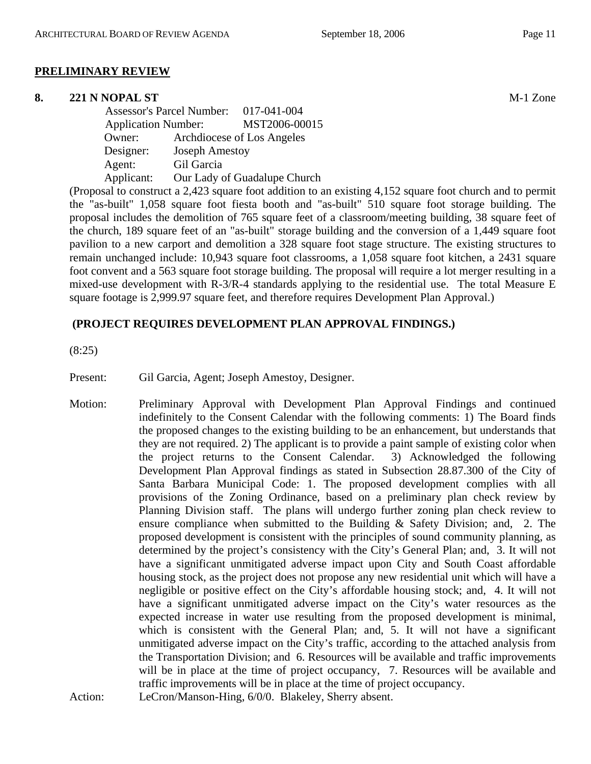#### **PRELIMINARY REVIEW**

#### **8. 221 N NOPAL ST** M-1 Zone

|                            | <b>Assessor's Parcel Number:</b> | 017-041-004                  |
|----------------------------|----------------------------------|------------------------------|
| <b>Application Number:</b> |                                  | MST2006-00015                |
| Owner:                     |                                  | Archdiocese of Los Angeles   |
| Designer:                  | <b>Joseph Amestoy</b>            |                              |
| Agent:                     | Gil Garcia                       |                              |
| Applicant:                 |                                  | Our Lady of Guadalupe Church |

(Proposal to construct a 2,423 square foot addition to an existing 4,152 square foot church and to permit the "as-built" 1,058 square foot fiesta booth and "as-built" 510 square foot storage building. The proposal includes the demolition of 765 square feet of a classroom/meeting building, 38 square feet of the church, 189 square feet of an "as-built" storage building and the conversion of a 1,449 square foot pavilion to a new carport and demolition a 328 square foot stage structure. The existing structures to remain unchanged include: 10,943 square foot classrooms, a 1,058 square foot kitchen, a 2431 square foot convent and a 563 square foot storage building. The proposal will require a lot merger resulting in a mixed-use development with R-3/R-4 standards applying to the residential use. The total Measure E square footage is 2,999.97 square feet, and therefore requires Development Plan Approval.)

## **(PROJECT REQUIRES DEVELOPMENT PLAN APPROVAL FINDINGS.)**

(8:25)

Present: Gil Garcia, Agent; Joseph Amestoy, Designer.

Motion: Preliminary Approval with Development Plan Approval Findings and continued indefinitely to the Consent Calendar with the following comments: 1) The Board finds the proposed changes to the existing building to be an enhancement, but understands that they are not required. 2) The applicant is to provide a paint sample of existing color when the project returns to the Consent Calendar. 3) Acknowledged the following Development Plan Approval findings as stated in Subsection 28.87.300 of the City of Santa Barbara Municipal Code: 1. The proposed development complies with all provisions of the Zoning Ordinance, based on a preliminary plan check review by Planning Division staff. The plans will undergo further zoning plan check review to ensure compliance when submitted to the Building & Safety Division; and, 2. The proposed development is consistent with the principles of sound community planning, as determined by the project's consistency with the City's General Plan; and, 3. It will not have a significant unmitigated adverse impact upon City and South Coast affordable housing stock, as the project does not propose any new residential unit which will have a negligible or positive effect on the City's affordable housing stock; and, 4. It will not have a significant unmitigated adverse impact on the City's water resources as the expected increase in water use resulting from the proposed development is minimal, which is consistent with the General Plan; and, 5. It will not have a significant unmitigated adverse impact on the City's traffic, according to the attached analysis from the Transportation Division; and 6. Resources will be available and traffic improvements will be in place at the time of project occupancy, 7. Resources will be available and traffic improvements will be in place at the time of project occupancy.

Action: LeCron/Manson-Hing, 6/0/0. Blakeley, Sherry absent.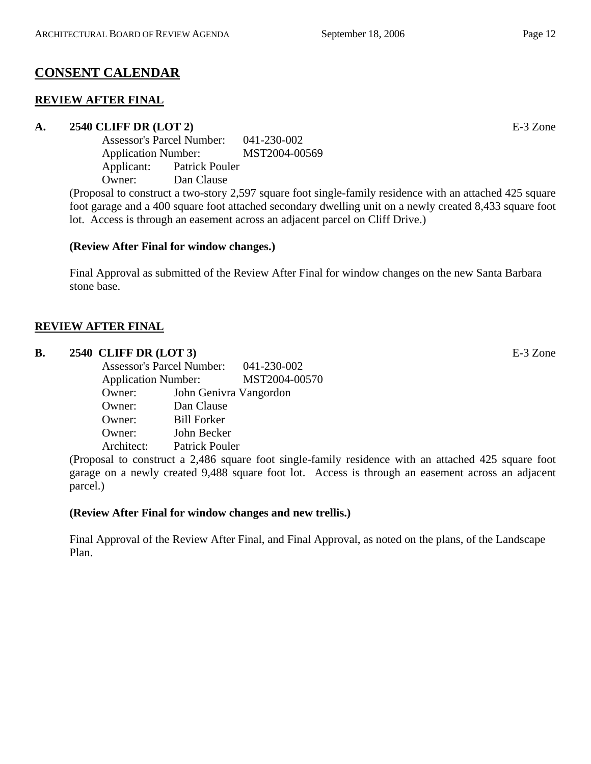# **CONSENT CALENDAR**

# **REVIEW AFTER FINAL**

# **A. 2540 CLIFF DR (LOT 2)** E-3 Zone

Assessor's Parcel Number: 041-230-002 Application Number: MST2004-00569 Applicant: Patrick Pouler Owner: Dan Clause

(Proposal to construct a two-story 2,597 square foot single-family residence with an attached 425 square foot garage and a 400 square foot attached secondary dwelling unit on a newly created 8,433 square foot lot. Access is through an easement across an adjacent parcel on Cliff Drive.)

# **(Review After Final for window changes.)**

Final Approval as submitted of the Review After Final for window changes on the new Santa Barbara stone base.

# **REVIEW AFTER FINAL**

# **B. 2540 CLIFF DR (LOT 3)** E-3 Zone

Assessor's Parcel Number: 041-230-002 Application Number: MST2004-00570 Owner: John Genivra Vangordon Owner: Dan Clause Owner: Bill Forker Owner: John Becker Architect: Patrick Pouler

(Proposal to construct a 2,486 square foot single-family residence with an attached 425 square foot garage on a newly created 9,488 square foot lot. Access is through an easement across an adjacent parcel.)

# **(Review After Final for window changes and new trellis.)**

Final Approval of the Review After Final, and Final Approval, as noted on the plans, of the Landscape Plan.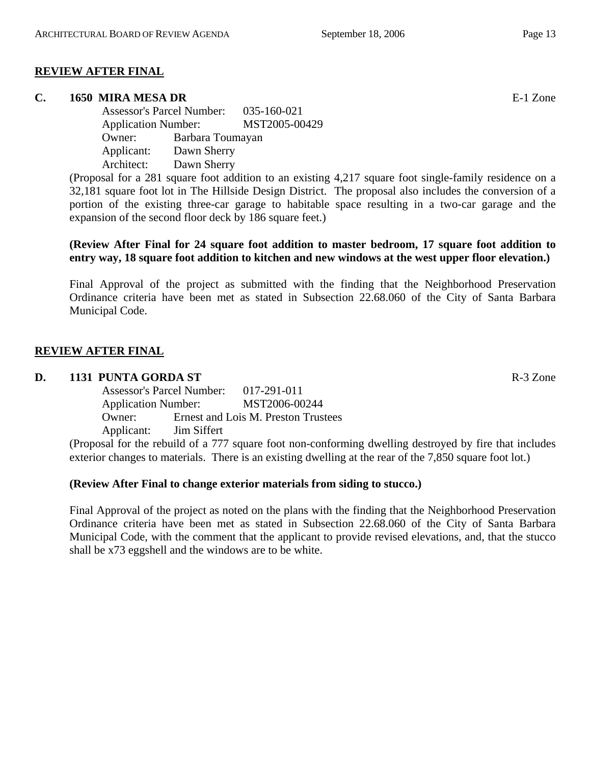# **REVIEW AFTER FINAL**

#### **C. 1650 MIRA MESA DR** E-1 Zone

Assessor's Parcel Number: 035-160-021 Application Number: MST2005-00429 Owner: Barbara Toumayan Applicant: Dawn Sherry Architect: Dawn Sherry

(Proposal for a 281 square foot addition to an existing 4,217 square foot single-family residence on a 32,181 square foot lot in The Hillside Design District. The proposal also includes the conversion of a portion of the existing three-car garage to habitable space resulting in a two-car garage and the expansion of the second floor deck by 186 square feet.)

## **(Review After Final for 24 square foot addition to master bedroom, 17 square foot addition to entry way, 18 square foot addition to kitchen and new windows at the west upper floor elevation.)**

Final Approval of the project as submitted with the finding that the Neighborhood Preservation Ordinance criteria have been met as stated in Subsection 22.68.060 of the City of Santa Barbara Municipal Code.

## **REVIEW AFTER FINAL**

#### **D. 1131 PUNTA GORDA ST** R-3 Zone

| <b>Assessor's Parcel Number:</b> |                    | 017-291-011                         |
|----------------------------------|--------------------|-------------------------------------|
| <b>Application Number:</b>       |                    | MST2006-00244                       |
| Owner:                           |                    | Ernest and Lois M. Preston Trustees |
| Applicant:                       | <b>Jim Siffert</b> |                                     |

(Proposal for the rebuild of a 777 square foot non-conforming dwelling destroyed by fire that includes exterior changes to materials. There is an existing dwelling at the rear of the 7,850 square foot lot.)

#### **(Review After Final to change exterior materials from siding to stucco.)**

Final Approval of the project as noted on the plans with the finding that the Neighborhood Preservation Ordinance criteria have been met as stated in Subsection 22.68.060 of the City of Santa Barbara Municipal Code, with the comment that the applicant to provide revised elevations, and, that the stucco shall be x73 eggshell and the windows are to be white.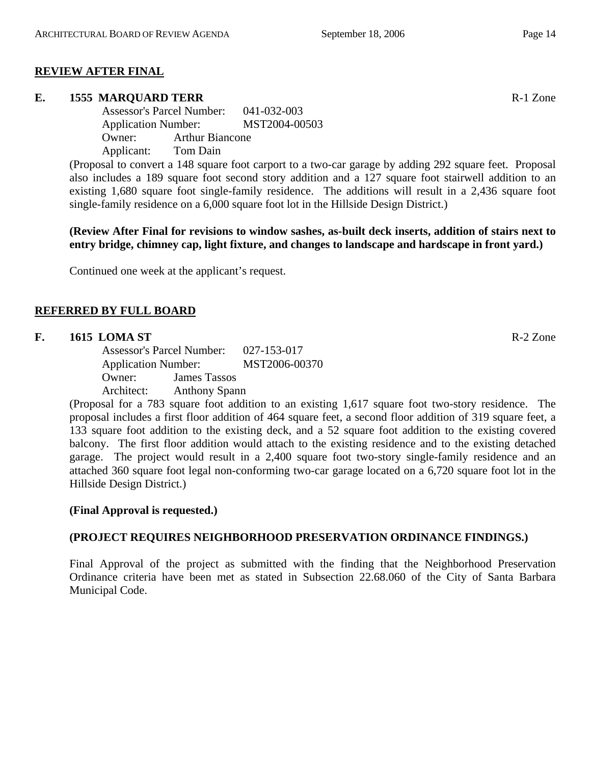## **REVIEW AFTER FINAL**

#### **E.** 1555 MAROUARD TERR **Reserve EXECUTE 25 STATE**

Assessor's Parcel Number: 041-032-003 Application Number: MST2004-00503 Owner: Arthur Biancone Applicant: Tom Dain

(Proposal to convert a 148 square foot carport to a two-car garage by adding 292 square feet. Proposal also includes a 189 square foot second story addition and a 127 square foot stairwell addition to an existing 1,680 square foot single-family residence. The additions will result in a 2,436 square foot single-family residence on a 6,000 square foot lot in the Hillside Design District.)

**(Review After Final for revisions to window sashes, as-built deck inserts, addition of stairs next to entry bridge, chimney cap, light fixture, and changes to landscape and hardscape in front yard.)** 

Continued one week at the applicant's request.

## **REFERRED BY FULL BOARD**

#### **F.** 1615 LOMA ST **R-2** Zone

Assessor's Parcel Number: 027-153-017 Application Number: MST2006-00370 Owner: James Tassos Architect: Anthony Spann

(Proposal for a 783 square foot addition to an existing 1,617 square foot two-story residence. The proposal includes a first floor addition of 464 square feet, a second floor addition of 319 square feet, a 133 square foot addition to the existing deck, and a 52 square foot addition to the existing covered balcony. The first floor addition would attach to the existing residence and to the existing detached garage. The project would result in a 2,400 square foot two-story single-family residence and an attached 360 square foot legal non-conforming two-car garage located on a 6,720 square foot lot in the Hillside Design District.)

## **(Final Approval is requested.)**

## **(PROJECT REQUIRES NEIGHBORHOOD PRESERVATION ORDINANCE FINDINGS.)**

Final Approval of the project as submitted with the finding that the Neighborhood Preservation Ordinance criteria have been met as stated in Subsection 22.68.060 of the City of Santa Barbara Municipal Code.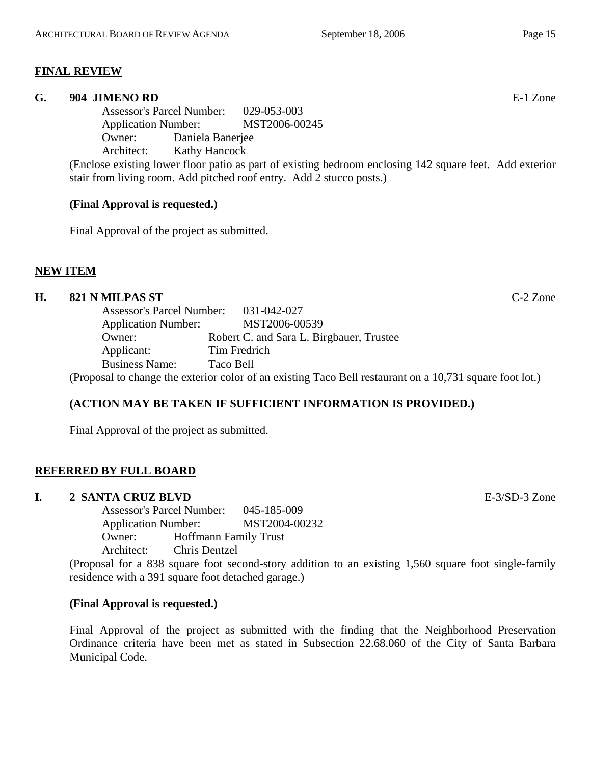# **FINAL REVIEW**

#### **G. 904 JIMENO RD** E-1 Zone

Assessor's Parcel Number: 029-053-003 Application Number: MST2006-00245 Owner: Daniela Banerjee Architect: Kathy Hancock

(Enclose existing lower floor patio as part of existing bedroom enclosing 142 square feet. Add exterior stair from living room. Add pitched roof entry. Add 2 stucco posts.)

## **(Final Approval is requested.)**

Final Approval of the project as submitted.

## **NEW ITEM**

# **H. 821 N MILPAS ST** C-2 Zone

| <b>Assessor's Parcel Number:</b>                                                                         | 031-042-027                              |  |  |
|----------------------------------------------------------------------------------------------------------|------------------------------------------|--|--|
| <b>Application Number:</b>                                                                               | MST2006-00539                            |  |  |
| Owner:                                                                                                   | Robert C. and Sara L. Birgbauer, Trustee |  |  |
| Applicant:                                                                                               | Tim Fredrich                             |  |  |
| <b>Business Name:</b>                                                                                    | Taco Bell                                |  |  |
| (Proposal to change the exterior color of an existing Taco Bell restaurant on a 10,731 square foot lot.) |                                          |  |  |

# **(ACTION MAY BE TAKEN IF SUFFICIENT INFORMATION IS PROVIDED.)**

Final Approval of the project as submitted.

# **REFERRED BY FULL BOARD**

## **I. 2 SANTA CRUZ BLVD** E-3/SD-3 Zone

Assessor's Parcel Number: 045-185-009 Application Number: MST2004-00232 Owner: Hoffmann Family Trust Architect: Chris Dentzel

(Proposal for a 838 square foot second-story addition to an existing 1,560 square foot single-family residence with a 391 square foot detached garage.)

## **(Final Approval is requested.)**

Final Approval of the project as submitted with the finding that the Neighborhood Preservation Ordinance criteria have been met as stated in Subsection 22.68.060 of the City of Santa Barbara Municipal Code.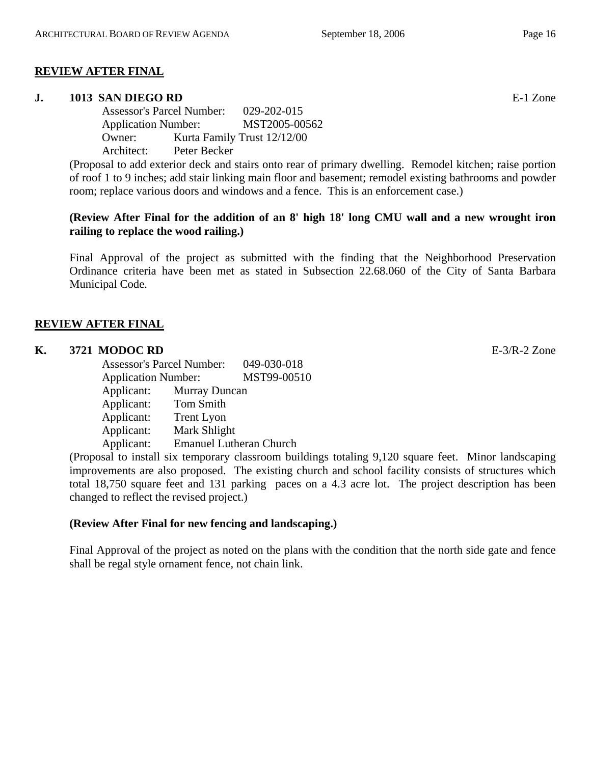## **REVIEW AFTER FINAL**

#### **J. 1013 SAN DIEGO RD** E-1 Zone

Assessor's Parcel Number: 029-202-015 Application Number: MST2005-00562 Owner: Kurta Family Trust 12/12/00 Architect: Peter Becker

(Proposal to add exterior deck and stairs onto rear of primary dwelling. Remodel kitchen; raise portion of roof 1 to 9 inches; add stair linking main floor and basement; remodel existing bathrooms and powder room; replace various doors and windows and a fence. This is an enforcement case.)

## **(Review After Final for the addition of an 8' high 18' long CMU wall and a new wrought iron railing to replace the wood railing.)**

Final Approval of the project as submitted with the finding that the Neighborhood Preservation Ordinance criteria have been met as stated in Subsection 22.68.060 of the City of Santa Barbara Municipal Code.

## **REVIEW AFTER FINAL**

#### **K. 3721 MODOC RD** E-3/R-2 Zone

Assessor's Parcel Number: 049-030-018 Application Number: MST99-00510 Applicant: Murray Duncan Applicant: Tom Smith Applicant: Trent Lyon Applicant: Mark Shlight Applicant: Emanuel Lutheran Church

(Proposal to install six temporary classroom buildings totaling 9,120 square feet. Minor landscaping improvements are also proposed. The existing church and school facility consists of structures which total 18,750 square feet and 131 parking paces on a 4.3 acre lot. The project description has been changed to reflect the revised project.)

#### **(Review After Final for new fencing and landscaping.)**

Final Approval of the project as noted on the plans with the condition that the north side gate and fence shall be regal style ornament fence, not chain link.